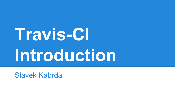# **Travis-CI Introduction**

Slavek Kabrda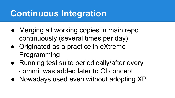# **Continuous Integration**

- Merging all working copies in main repo continuously (several times per day)
- Originated as a practice in eXtreme Programming
- Running test suite periodically/after every commit was added later to CI concept
- Nowadays used even without adopting XP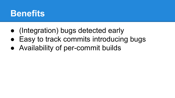#### **Benefits**

- (Integration) bugs detected early
- Easy to track commits introducing bugs
- Availability of per-commit builds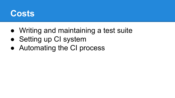

- Writing and maintaining a test suite
- Setting up CI system
- Automating the CI process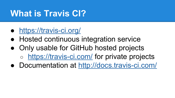# **What is Travis CI?**

- <https://travis-ci.org/>
- Hosted continuous integration service
- Only usable for GitHub hosted projects <https://travis-ci.com/> for private projects
- Documentation at<http://docs.travis-ci.com/>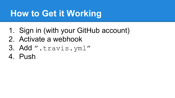# **How to Get it Working**

- 1. Sign in (with your GitHub account)
- 2. Activate a webhook
- 3. Add ".travis.yml"
- 4. Push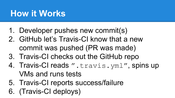# **How it Works**

- 1. Developer pushes new commit(s)
- 2. GitHub let's Travis-CI know that a new commit was pushed (PR was made)
- 3. Travis-CI checks out the GitHub repo
- 4. Travis-CI reads ".travis.yml", spins up VMs and runs tests
- 5. Travis-CI reports success/failure
- 6. (Travis-CI deploys)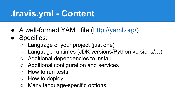# **.travis.yml - Content**

- A well-formed YAML file [\(http://yaml.org/\)](http://yaml.org/)
- Specifies:
	- Language of your project (just one)
	- Language runtimes (JDK versions/Python versions/...)
	- Additional dependencies to install
	- Additional configuration and services
	- How to run tests
	- How to deploy
	- Many language-specific options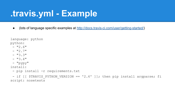#### **.travis.yml - Example**

● (lots of language specific examples at <http://docs.travis-ci.com/user/getting-started/>)

```
language: python
python:
 - "2.6"
 - "2.7"
 - "3.3"
 - "3.4"
  - "pypy"
install:
  - pip install -r requirements.txt
 - if [[ $TRAVIS PYTHON VERSION == '2.6' ]]; then pip install argparse; fi
script: nosetests
```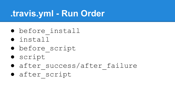#### **.travis.yml - Run Order**

- before\_install
- install
- before\_script
- script
- after success/after failure
- after\_script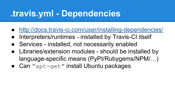#### **.travis.yml - Dependencies**

- <http://docs.travis-ci.com/user/installing-dependencies/>
- Interpreters/runtimes installed by Travis-CI itself
- Services installed, not necessarily enabled
- Libraries/extension modules should be installed by language-specific means (PyPI/Rubygems/NPM/…)
- Can "apt-get" install Ubuntu packages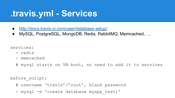#### **.travis.yml - Services**

- <http://docs.travis-ci.com/user/database-setup/>
- MySQL, PostgreSQL, MongoDB, Redis, RabbitMQ, Memcached, …

services:

- redis
- memcached
- # mysql starts on VM boot, no need to add it to services

before script:

- # username 'travis'/'root', blank password
- mysql -e 'create database myapp test;'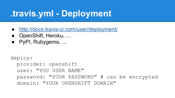# **.travis.yml - Deployment**

- <http://docs.travis-ci.com/user/deployment/>
- OpenShift, Heroku, ...
- PyPI, Rubygems, ...

```
deploy:
   provider: openshift
   user: "YOU USER NAME"
   password: "YOUR PASSWORD" # can be encrypted
   domain: "YOUR OPENSHIFT DOMAIN"
```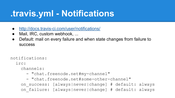# **.travis.yml - Notifications**

- <http://docs.travis-ci.com/user/notifications/>
- Mail, IRC, custom webhook, ...
- Default: mail on every failure and when state changes from failure to success

notifications:

irc:

channels:

- "chat.freenode.net#my-channel"
- "chat.freenode.net#some-other-channel"

 on\_success: [always|never|change] # default: always on failure: [always|never|change] # default: always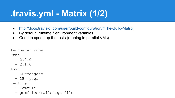# **.travis.yml - Matrix (1/2)**

- <http://docs.travis-ci.com/user/build-configuration/#The-Build-Matrix>
- By default: runtime \* environment variables
- Good to speed up the tests (running in parallel VMs)

```
language: ruby
```
rvm:

- $-2.0.0$
- $-2.1.0$

env:

- DB=mongodb
- DB=mysql

gemfile:

- Gemfile
- gemfiles/rails4.gemfile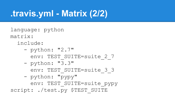# **.travis.yml - Matrix (2/2)**

language: python matrix:

include:

- python: "2.7"
	- env: TEST SUITE=suite 2 7
- python: "3.3"
	- -
	- env: TEST SUITE=suite 3 3

script: ./test.py \$TEST SUITE

- 
- python: "pypy"
	-
	-
	- env: TEST SUITE=suite pypy
		-
- 
- 
-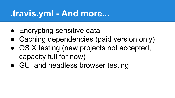#### **.travis.yml - And more...**

- Encrypting sensitive data
- Caching dependencies (paid version only)
- OS X testing (new projects not accepted, capacity full for now)
- GUI and headless browser testing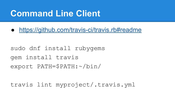#### **Command Line Client**

● <https://github.com/travis-ci/travis.rb#readme>

sudo dnf install rubygems gem install travis export PATH=\$PATH:~/bin/

travis lint myproject/.travis.yml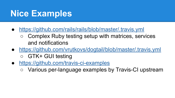#### **Nice Examples**

- <https://github.com/rails/rails/blob/master/.travis.yml>
	- Complex Ruby testing setup with matrices, services and notifications
- <https://github.com/vrutkovs/dogtail/blob/master/.travis.yml> ○ GTK+ GUI testing
- <https://github.com/travis-ci-examples>
	- Various per-language examples by Travis-CI upstream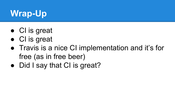# **Wrap-Up**

- CI is great
- CI is great
- Travis is a nice CI implementation and it's for free (as in free beer)
- Did I say that CI is great?